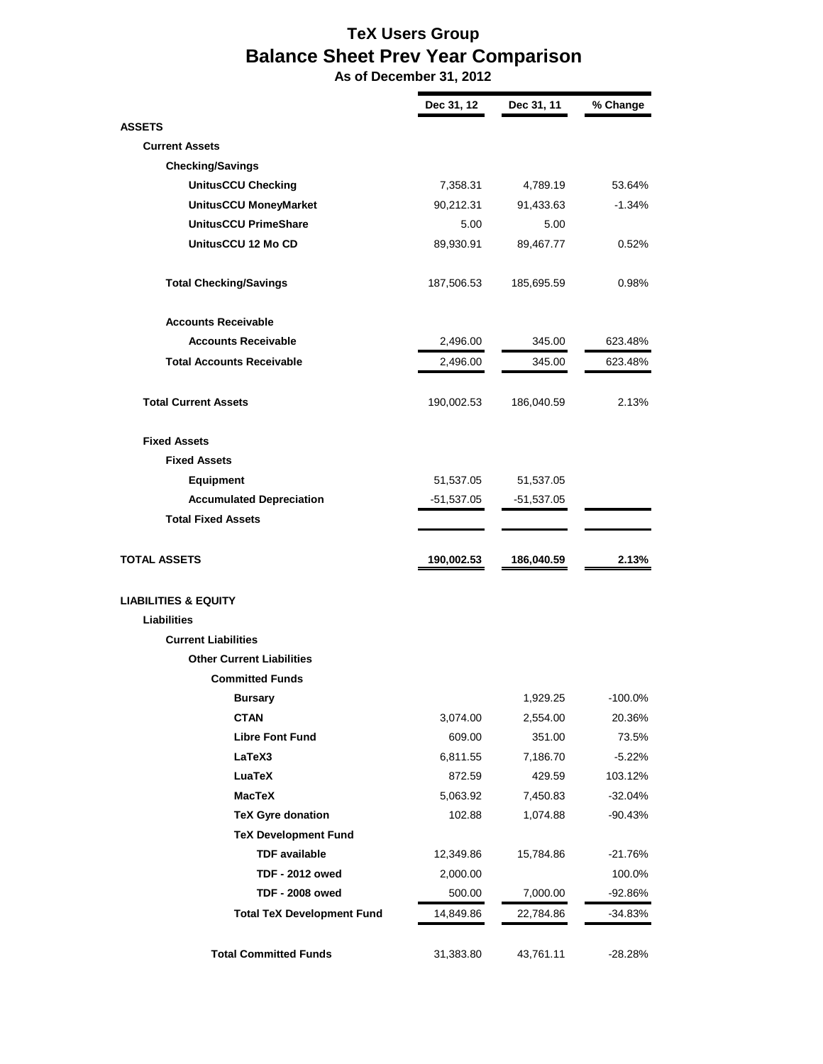## **TeX Users Group Balance Sheet Prev Year Comparison**

 **As of December 31, 2012**

|                                   | Dec 31, 12 | Dec 31, 11 | % Change  |
|-----------------------------------|------------|------------|-----------|
| <b>ASSETS</b>                     |            |            |           |
| <b>Current Assets</b>             |            |            |           |
| <b>Checking/Savings</b>           |            |            |           |
| <b>UnitusCCU Checking</b>         | 7,358.31   | 4,789.19   | 53.64%    |
| UnitusCCU MoneyMarket             | 90,212.31  | 91,433.63  | $-1.34\%$ |
| <b>UnitusCCU PrimeShare</b>       | 5.00       | 5.00       |           |
| UnitusCCU 12 Mo CD                | 89,930.91  | 89,467.77  | 0.52%     |
| <b>Total Checking/Savings</b>     | 187,506.53 | 185,695.59 | 0.98%     |
| <b>Accounts Receivable</b>        |            |            |           |
| <b>Accounts Receivable</b>        | 2,496.00   | 345.00     | 623.48%   |
| <b>Total Accounts Receivable</b>  | 2,496.00   | 345.00     | 623.48%   |
| <b>Total Current Assets</b>       | 190,002.53 | 186,040.59 | 2.13%     |
| <b>Fixed Assets</b>               |            |            |           |
| <b>Fixed Assets</b>               |            |            |           |
| <b>Equipment</b>                  | 51,537.05  | 51,537.05  |           |
| <b>Accumulated Depreciation</b>   | -51,537.05 | -51,537.05 |           |
| <b>Total Fixed Assets</b>         |            |            |           |
| <b>TOTAL ASSETS</b>               | 190,002.53 | 186,040.59 | 2.13%     |
| <b>LIABILITIES &amp; EQUITY</b>   |            |            |           |
| Liabilities                       |            |            |           |
| <b>Current Liabilities</b>        |            |            |           |
| <b>Other Current Liabilities</b>  |            |            |           |
| <b>Committed Funds</b>            |            |            |           |
| <b>Bursary</b>                    |            | 1,929.25   | -100.0%   |
| <b>CTAN</b>                       | 3,074.00   | 2,554.00   | 20.36%    |
| <b>Libre Font Fund</b>            | 609.00     | 351.00     | 73.5%     |
| LaTeX3                            | 6,811.55   | 7,186.70   | $-5.22%$  |
| <b>LuaTeX</b>                     | 872.59     | 429.59     | 103.12%   |
| <b>MacTeX</b>                     | 5,063.92   | 7,450.83   | $-32.04%$ |
| <b>TeX Gyre donation</b>          | 102.88     | 1,074.88   | $-90.43%$ |
| <b>TeX Development Fund</b>       |            |            |           |
| <b>TDF</b> available              | 12,349.86  | 15,784.86  | $-21.76%$ |
| <b>TDF - 2012 owed</b>            | 2,000.00   |            | 100.0%    |
| <b>TDF - 2008 owed</b>            | 500.00     | 7,000.00   | -92.86%   |
| <b>Total TeX Development Fund</b> | 14,849.86  | 22,784.86  | -34.83%   |
| <b>Total Committed Funds</b>      | 31,383.80  | 43,761.11  | $-28.28%$ |